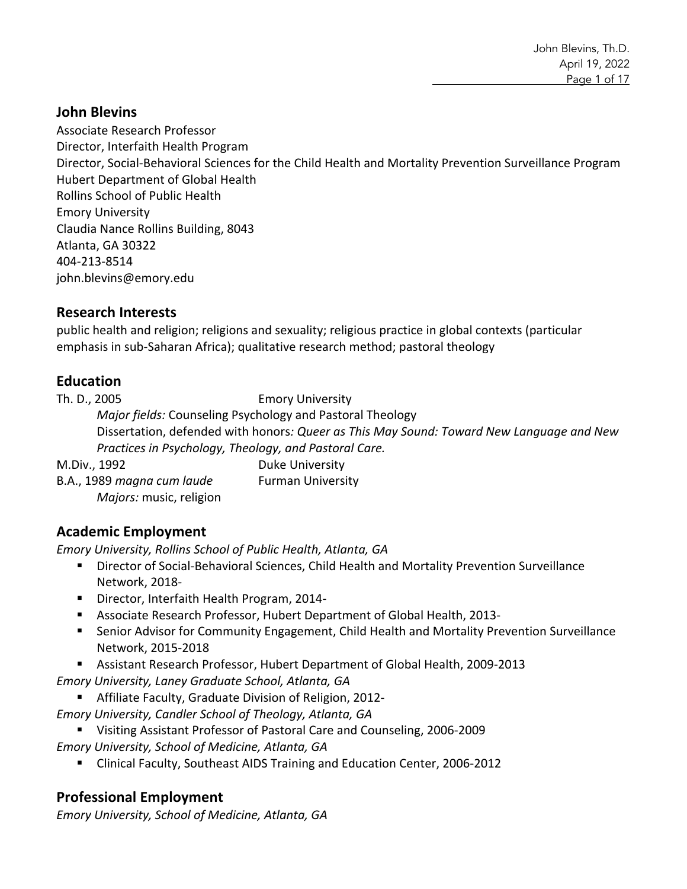#### **John Blevins**

Associate Research Professor Director, Interfaith Health Program Director, Social-Behavioral Sciences for the Child Health and Mortality Prevention Surveillance Program Hubert Department of Global Health Rollins School of Public Health Emory University Claudia Nance Rollins Building, 8043 Atlanta, GA 30322 404-213-8514 john.blevins@emory.edu

#### **Research Interests**

public health and religion; religions and sexuality; religious practice in global contexts (particular emphasis in sub-Saharan Africa); qualitative research method; pastoral theology

# **Education**

Th. D., 2005 Emory University

*Major fields:* Counseling Psychology and Pastoral Theology Dissertation, defended with honors*: Queer as This May Sound: Toward New Language and New Practices in Psychology, Theology, and Pastoral Care.*

M.Div., 1992 **Duke University** B.A., 1989 *magna cum laude* Furman University *Majors:* music, religion

# **Academic Employment**

*Emory University, Rollins School of Public Health, Atlanta, GA*

- Director of Social-Behavioral Sciences, Child Health and Mortality Prevention Surveillance Network, 2018-
- Director, Interfaith Health Program, 2014-
- § Associate Research Professor, Hubert Department of Global Health, 2013-
- Senior Advisor for Community Engagement, Child Health and Mortality Prevention Surveillance Network, 2015-2018
- Assistant Research Professor, Hubert Department of Global Health, 2009-2013
- *Emory University, Laney Graduate School, Atlanta, GA*
	- Affiliate Faculty, Graduate Division of Religion, 2012-
- *Emory University, Candler School of Theology, Atlanta, GA*
	- Visiting Assistant Professor of Pastoral Care and Counseling, 2006-2009

*Emory University, School of Medicine, Atlanta, GA*

■ Clinical Faculty, Southeast AIDS Training and Education Center, 2006-2012

# **Professional Employment**

*Emory University, School of Medicine, Atlanta, GA*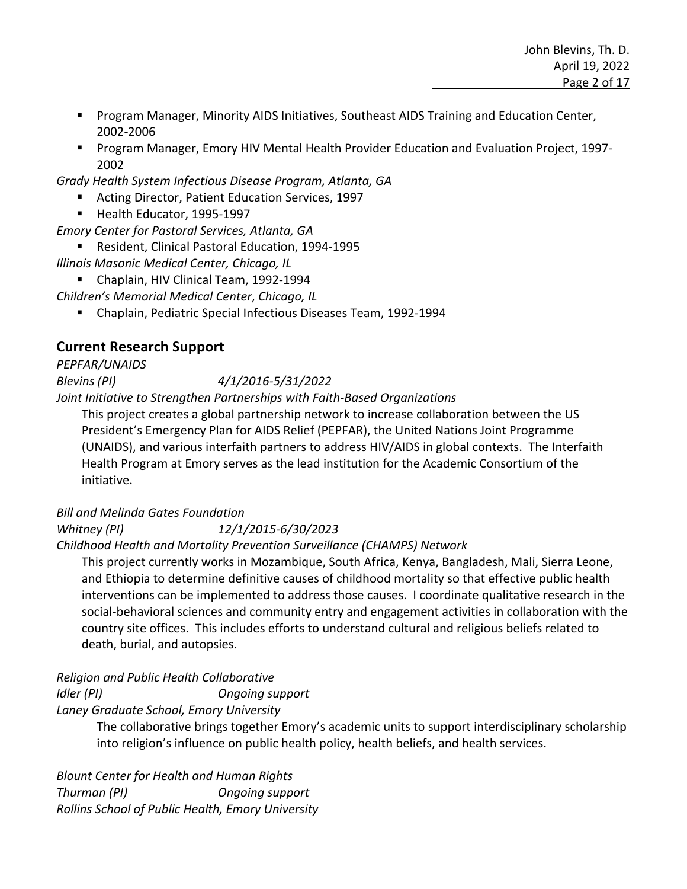- Program Manager, Minority AIDS Initiatives, Southeast AIDS Training and Education Center, 2002-2006
- Program Manager, Emory HIV Mental Health Provider Education and Evaluation Project, 1997-2002
- *Grady Health System Infectious Disease Program, Atlanta, GA*
	- Acting Director, Patient Education Services, 1997
	- Health Educator, 1995-1997
- *Emory Center for Pastoral Services, Atlanta, GA*
	- Resident, Clinical Pastoral Education, 1994-1995
- *Illinois Masonic Medical Center, Chicago, IL*
	- Chaplain, HIV Clinical Team, 1992-1994

*Children's Memorial Medical Center*, *Chicago, IL*

§ Chaplain, Pediatric Special Infectious Diseases Team, 1992-1994

# **Current Research Support**

*PEPFAR/UNAIDS* 

*Blevins (PI) 4/1/2016-5/31/2022*

*Joint Initiative to Strengthen Partnerships with Faith-Based Organizations*

This project creates a global partnership network to increase collaboration between the US President's Emergency Plan for AIDS Relief (PEPFAR), the United Nations Joint Programme (UNAIDS), and various interfaith partners to address HIV/AIDS in global contexts. The Interfaith Health Program at Emory serves as the lead institution for the Academic Consortium of the initiative.

#### *Bill and Melinda Gates Foundation*

*Whitney (PI) 12/1/2015-6/30/2023 Childhood Health and Mortality Prevention Surveillance (CHAMPS) Network*

This project currently works in Mozambique, South Africa, Kenya, Bangladesh, Mali, Sierra Leone, and Ethiopia to determine definitive causes of childhood mortality so that effective public health interventions can be implemented to address those causes. I coordinate qualitative research in the social-behavioral sciences and community entry and engagement activities in collaboration with the country site offices. This includes efforts to understand cultural and religious beliefs related to death, burial, and autopsies.

*Religion and Public Health Collaborative Idler (PI) Ongoing support Laney Graduate School, Emory University*

> The collaborative brings together Emory's academic units to support interdisciplinary scholarship into religion's influence on public health policy, health beliefs, and health services.

*Blount Center for Health and Human Rights Thurman (PI) Ongoing support Rollins School of Public Health, Emory University*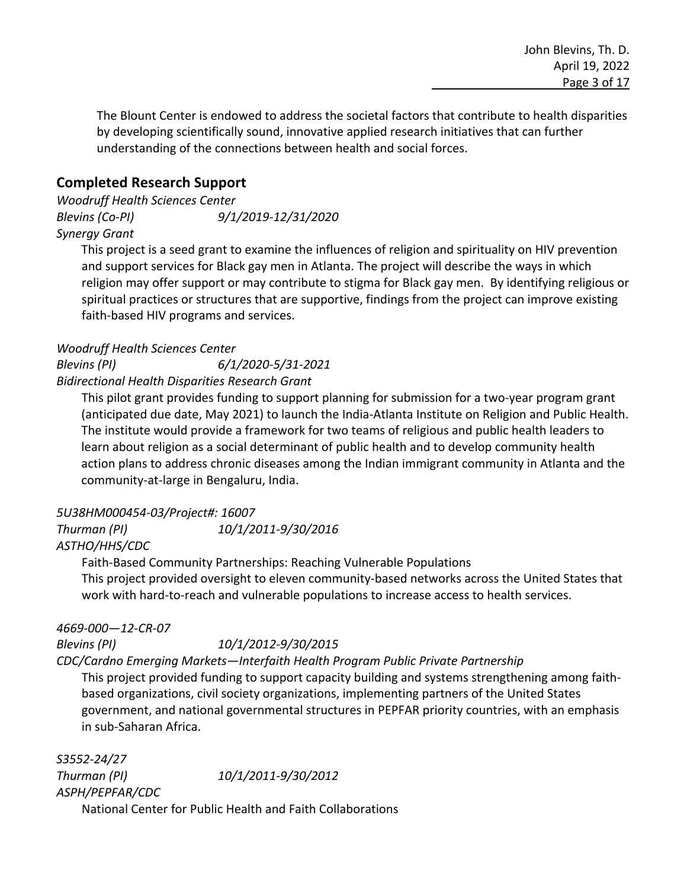The Blount Center is endowed to address the societal factors that contribute to health disparities by developing scientifically sound, innovative applied research initiatives that can further understanding of the connections between health and social forces.

## **Completed Research Support**

*Woodruff Health Sciences Center Blevins (Co-PI) 9/1/2019-12/31/2020 Synergy Grant*

This project is a seed grant to examine the influences of religion and spirituality on HIV prevention and support services for Black gay men in Atlanta. The project will describe the ways in which religion may offer support or may contribute to stigma for Black gay men. By identifying religious or spiritual practices or structures that are supportive, findings from the project can improve existing faith-based HIV programs and services.

#### *Woodruff Health Sciences Center*

*Blevins (PI) 6/1/2020-5/31-2021*

*Bidirectional Health Disparities Research Grant*

This pilot grant provides funding to support planning for submission for a two-year program grant (anticipated due date, May 2021) to launch the India-Atlanta Institute on Religion and Public Health. The institute would provide a framework for two teams of religious and public health leaders to learn about religion as a social determinant of public health and to develop community health action plans to address chronic diseases among the Indian immigrant community in Atlanta and the community-at-large in Bengaluru, India.

#### *5U38HM000454-03/Project#: 16007*

*Thurman (PI) 10/1/2011-9/30/2016 ASTHO/HHS/CDC*

Faith-Based Community Partnerships: Reaching Vulnerable Populations This project provided oversight to eleven community-based networks across the United States that work with hard-to-reach and vulnerable populations to increase access to health services.

#### *4669-000—12-CR-07*

*Blevins (PI) 10/1/2012-9/30/2015*

*CDC/Cardno Emerging Markets—Interfaith Health Program Public Private Partnership*

This project provided funding to support capacity building and systems strengthening among faithbased organizations, civil society organizations, implementing partners of the United States government, and national governmental structures in PEPFAR priority countries, with an emphasis in sub-Saharan Africa.

*S3552-24/27 Thurman (PI) 10/1/2011-9/30/2012 ASPH/PEPFAR/CDC* National Center for Public Health and Faith Collaborations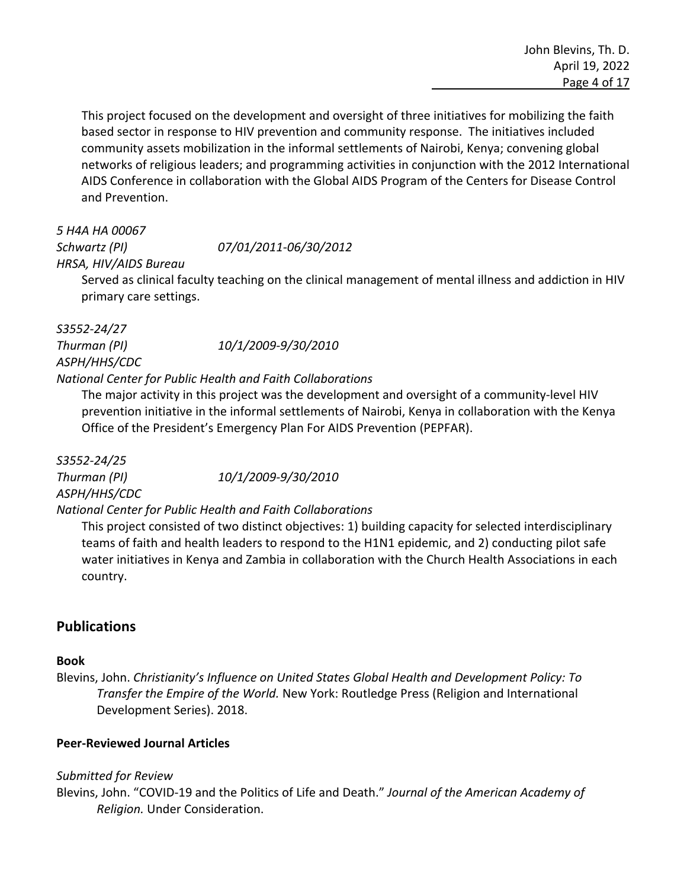This project focused on the development and oversight of three initiatives for mobilizing the faith based sector in response to HIV prevention and community response. The initiatives included community assets mobilization in the informal settlements of Nairobi, Kenya; convening global networks of religious leaders; and programming activities in conjunction with the 2012 International AIDS Conference in collaboration with the Global AIDS Program of the Centers for Disease Control and Prevention.

# *5 H4A HA 00067*

*Schwartz (PI) 07/01/2011-06/30/2012*

*HRSA, HIV/AIDS Bureau*

Served as clinical faculty teaching on the clinical management of mental illness and addiction in HIV primary care settings.

# *S3552-24/27 ASPH/HHS/CDC*

*Thurman (PI) 10/1/2009-9/30/2010*

## *National Center for Public Health and Faith Collaborations*

The major activity in this project was the development and oversight of a community-level HIV prevention initiative in the informal settlements of Nairobi, Kenya in collaboration with the Kenya Office of the President's Emergency Plan For AIDS Prevention (PEPFAR).

*S3552-24/25 Thurman (PI) 10/1/2009-9/30/2010 ASPH/HHS/CDC National Center for Public Health and Faith Collaborations*

This project consisted of two distinct objectives: 1) building capacity for selected interdisciplinary teams of faith and health leaders to respond to the H1N1 epidemic, and 2) conducting pilot safe water initiatives in Kenya and Zambia in collaboration with the Church Health Associations in each country.

# **Publications**

#### **Book**

Blevins, John. *Christianity's Influence on United States Global Health and Development Policy: To Transfer the Empire of the World.* New York: Routledge Press (Religion and International Development Series). 2018.

#### **Peer-Reviewed Journal Articles**

#### *Submitted for Review*

Blevins, John. "COVID-19 and the Politics of Life and Death." *Journal of the American Academy of Religion.* Under Consideration.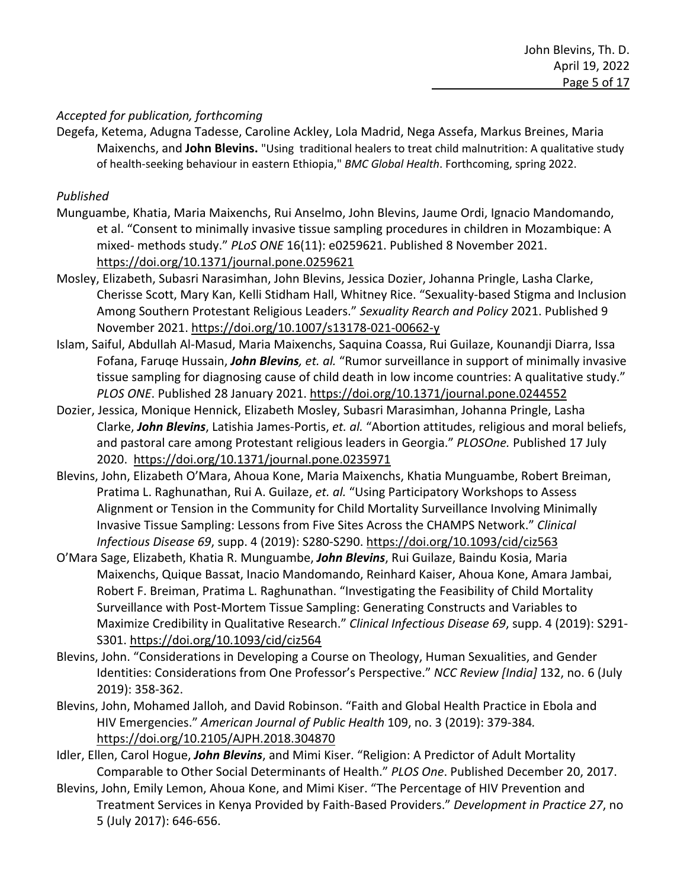#### *Accepted for publication, forthcoming*

Degefa, Ketema, Adugna Tadesse, Caroline Ackley, Lola Madrid, Nega Assefa, Markus Breines, Maria Maixenchs, and **John Blevins.** "Using traditional healers to treat child malnutrition: A qualitative study of health-seeking behaviour in eastern Ethiopia," *BMC Global Health*. Forthcoming, spring 2022.

#### *Published*

- Munguambe, Khatia, Maria Maixenchs, Rui Anselmo, John Blevins, Jaume Ordi, Ignacio Mandomando, et al. "Consent to minimally invasive tissue sampling procedures in children in Mozambique: A mixed- methods study." *PLoS ONE* 16(11): e0259621. Published 8 November 2021. https://doi.org/10.1371/journal.pone.0259621
- Mosley, Elizabeth, Subasri Narasimhan, John Blevins, Jessica Dozier, Johanna Pringle, Lasha Clarke, Cherisse Scott, Mary Kan, Kelli Stidham Hall, Whitney Rice. "Sexuality-based Stigma and Inclusion Among Southern Protestant Religious Leaders." *Sexuality Rearch and Policy* 2021. Published 9 November 2021. https://doi.org/10.1007/s13178-021-00662-y
- Islam, Saiful, Abdullah Al-Masud, Maria Maixenchs, Saquina Coassa, Rui Guilaze, Kounandji Diarra, Issa Fofana, Faruqe Hussain, *John Blevins, et. al.* "Rumor surveillance in support of minimally invasive tissue sampling for diagnosing cause of child death in low income countries: A qualitative study." *PLOS ONE*. Published 28 January 2021. https://doi.org/10.1371/journal.pone.0244552
- Dozier, Jessica, Monique Hennick, Elizabeth Mosley, Subasri Marasimhan, Johanna Pringle, Lasha Clarke, *John Blevins*, Latishia James-Portis, *et. al.* "Abortion attitudes, religious and moral beliefs, and pastoral care among Protestant religious leaders in Georgia." *PLOSOne.* Published 17 July 2020. https://doi.org/10.1371/journal.pone.0235971
- Blevins, John, Elizabeth O'Mara, Ahoua Kone, Maria Maixenchs, Khatia Munguambe, Robert Breiman, Pratima L. Raghunathan, Rui A. Guilaze, *et. al.* "Using Participatory Workshops to Assess Alignment or Tension in the Community for Child Mortality Surveillance Involving Minimally Invasive Tissue Sampling: Lessons from Five Sites Across the CHAMPS Network." *Clinical Infectious Disease 69*, supp. 4 (2019): S280-S290. https://doi.org/10.1093/cid/ciz563
- O'Mara Sage, Elizabeth, Khatia R. Munguambe, *John Blevins*, Rui Guilaze, Baindu Kosia, Maria Maixenchs, Quique Bassat, Inacio Mandomando, Reinhard Kaiser, Ahoua Kone, Amara Jambai, Robert F. Breiman, Pratima L. Raghunathan. "Investigating the Feasibility of Child Mortality Surveillance with Post-Mortem Tissue Sampling: Generating Constructs and Variables to Maximize Credibility in Qualitative Research." *Clinical Infectious Disease 69*, supp. 4 (2019): S291- S301. https://doi.org/10.1093/cid/ciz564
- Blevins, John. "Considerations in Developing a Course on Theology, Human Sexualities, and Gender Identities: Considerations from One Professor's Perspective." *NCC Review [India]* 132, no. 6 (July 2019): 358-362.
- Blevins, John, Mohamed Jalloh, and David Robinson. "Faith and Global Health Practice in Ebola and HIV Emergencies." *American Journal of Public Health* 109, no. 3 (2019): 379-384*.*  https://doi.org/10.2105/AJPH.2018.304870
- Idler, Ellen, Carol Hogue, *John Blevins*, and Mimi Kiser. "Religion: A Predictor of Adult Mortality Comparable to Other Social Determinants of Health." *PLOS One*. Published December 20, 2017.
- Blevins, John, Emily Lemon, Ahoua Kone, and Mimi Kiser. "The Percentage of HIV Prevention and Treatment Services in Kenya Provided by Faith-Based Providers." *Development in Practice 27*, no 5 (July 2017): 646-656.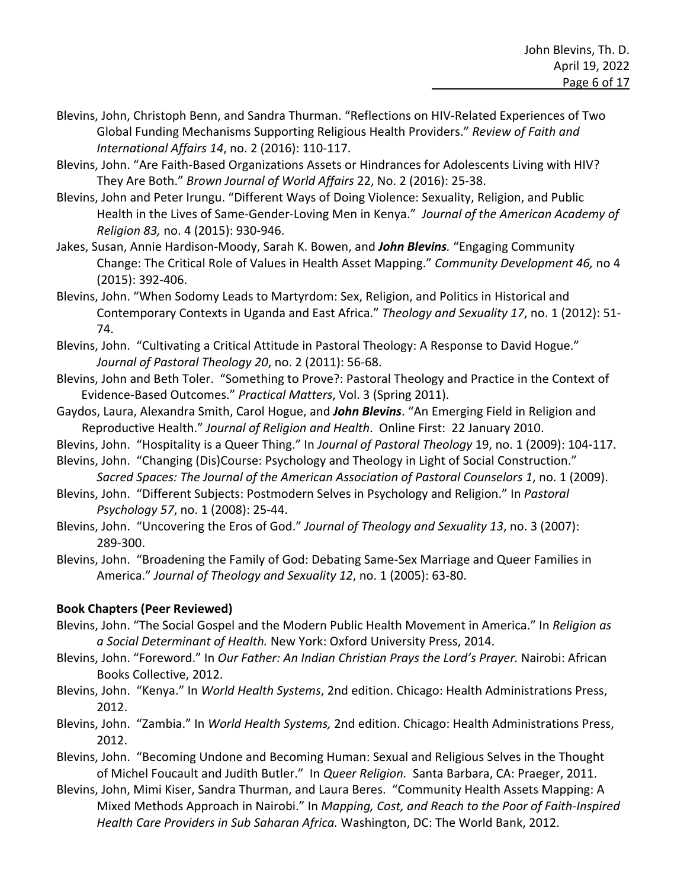- Blevins, John, Christoph Benn, and Sandra Thurman. "Reflections on HIV-Related Experiences of Two Global Funding Mechanisms Supporting Religious Health Providers." *Review of Faith and International Affairs 14*, no. 2 (2016): 110-117.
- Blevins, John. "Are Faith-Based Organizations Assets or Hindrances for Adolescents Living with HIV? They Are Both." *Brown Journal of World Affairs* 22, No. 2 (2016): 25-38.
- Blevins, John and Peter Irungu. "Different Ways of Doing Violence: Sexuality, Religion, and Public Health in the Lives of Same-Gender-Loving Men in Kenya." *Journal of the American Academy of Religion 83,* no. 4 (2015): 930-946.
- Jakes, Susan, Annie Hardison-Moody, Sarah K. Bowen, and *John Blevins.* "Engaging Community Change: The Critical Role of Values in Health Asset Mapping." *Community Development 46,* no 4 (2015): 392-406.
- Blevins, John. "When Sodomy Leads to Martyrdom: Sex, Religion, and Politics in Historical and Contemporary Contexts in Uganda and East Africa." *Theology and Sexuality 17*, no. 1 (2012): 51- 74.
- Blevins, John. "Cultivating a Critical Attitude in Pastoral Theology: A Response to David Hogue." *Journal of Pastoral Theology 20*, no. 2 (2011): 56-68.
- Blevins, John and Beth Toler. "Something to Prove?: Pastoral Theology and Practice in the Context of Evidence-Based Outcomes." *Practical Matters*, Vol. 3 (Spring 2011).
- Gaydos, Laura, Alexandra Smith, Carol Hogue, and *John Blevins*. "An Emerging Field in Religion and Reproductive Health." *Journal of Religion and Health*. Online First: 22 January 2010.
- Blevins, John. "Hospitality is a Queer Thing." In *Journal of Pastoral Theology* 19, no. 1 (2009): 104-117. Blevins, John. "Changing (Dis)Course: Psychology and Theology in Light of Social Construction."
- *Sacred Spaces: The Journal of the American Association of Pastoral Counselors 1*, no. 1 (2009).
- Blevins, John. "Different Subjects: Postmodern Selves in Psychology and Religion." In *Pastoral Psychology 57*, no. 1 (2008): 25-44.
- Blevins, John. "Uncovering the Eros of God." *Journal of Theology and Sexuality 13*, no. 3 (2007): 289-300.
- Blevins, John. "Broadening the Family of God: Debating Same-Sex Marriage and Queer Families in America." *Journal of Theology and Sexuality 12*, no. 1 (2005): 63-80.

#### **Book Chapters (Peer Reviewed)**

- Blevins, John. "The Social Gospel and the Modern Public Health Movement in America." In *Religion as a Social Determinant of Health.* New York: Oxford University Press, 2014.
- Blevins, John. "Foreword." In *Our Father: An Indian Christian Prays the Lord's Prayer.* Nairobi: African Books Collective, 2012.
- Blevins, John. "Kenya." In *World Health Systems*, 2nd edition. Chicago: Health Administrations Press, 2012.
- Blevins, John. "Zambia." In *World Health Systems,* 2nd edition. Chicago: Health Administrations Press, 2012.
- Blevins, John. "Becoming Undone and Becoming Human: Sexual and Religious Selves in the Thought of Michel Foucault and Judith Butler." In *Queer Religion.* Santa Barbara, CA: Praeger, 2011.
- Blevins, John, Mimi Kiser, Sandra Thurman, and Laura Beres. "Community Health Assets Mapping: A Mixed Methods Approach in Nairobi." In *Mapping, Cost, and Reach to the Poor of Faith-Inspired Health Care Providers in Sub Saharan Africa.* Washington, DC: The World Bank, 2012.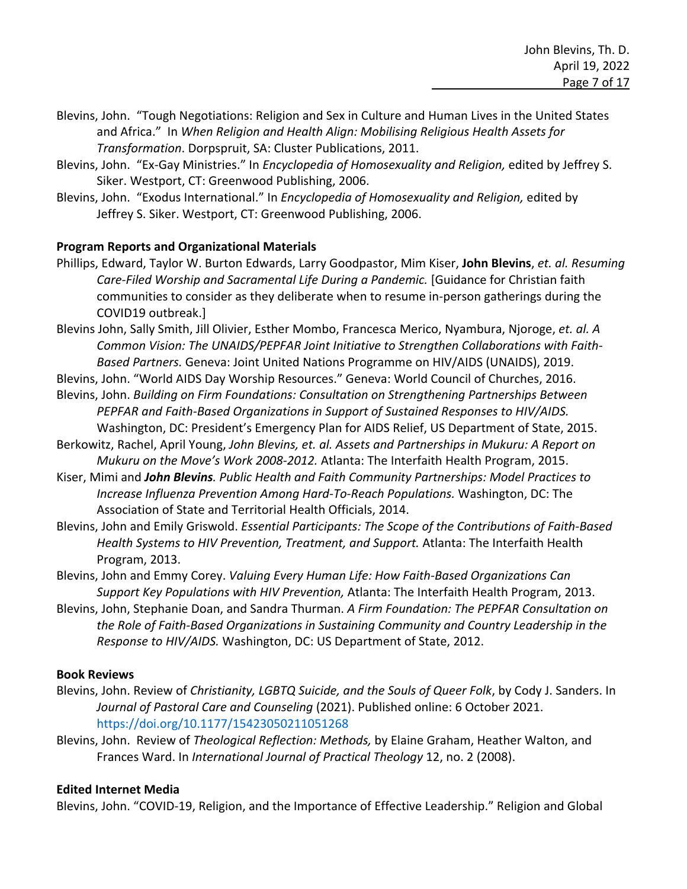- Blevins, John. "Tough Negotiations: Religion and Sex in Culture and Human Lives in the United States and Africa." In *When Religion and Health Align: Mobilising Religious Health Assets for Transformation*. Dorpspruit, SA: Cluster Publications, 2011.
- Blevins, John. "Ex-Gay Ministries." In *Encyclopedia of Homosexuality and Religion,* edited by Jeffrey S. Siker. Westport, CT: Greenwood Publishing, 2006.
- Blevins, John. "Exodus International." In *Encyclopedia of Homosexuality and Religion,* edited by Jeffrey S. Siker. Westport, CT: Greenwood Publishing, 2006.

#### **Program Reports and Organizational Materials**

- Phillips, Edward, Taylor W. Burton Edwards, Larry Goodpastor, Mim Kiser, **John Blevins**, *et. al. Resuming*  Care-Filed Worship and Sacramental Life During a Pandemic. [Guidance for Christian faith communities to consider as they deliberate when to resume in-person gatherings during the COVID19 outbreak.]
- Blevins John, Sally Smith, Jill Olivier, Esther Mombo, Francesca Merico, Nyambura, Njoroge, *et. al. A Common Vision: The UNAIDS/PEPFAR Joint Initiative to Strengthen Collaborations with Faith-Based Partners.* Geneva: Joint United Nations Programme on HIV/AIDS (UNAIDS), 2019.
- Blevins, John. "World AIDS Day Worship Resources." Geneva: World Council of Churches, 2016.
- Blevins, John. *Building on Firm Foundations: Consultation on Strengthening Partnerships Between PEPFAR and Faith-Based Organizations in Support of Sustained Responses to HIV/AIDS.*  Washington, DC: President's Emergency Plan for AIDS Relief, US Department of State, 2015.
- Berkowitz, Rachel, April Young, *John Blevins, et. al. Assets and Partnerships in Mukuru: A Report on Mukuru on the Move's Work 2008-2012.* Atlanta: The Interfaith Health Program, 2015.
- Kiser, Mimi and *John Blevins. Public Health and Faith Community Partnerships: Model Practices to Increase Influenza Prevention Among Hard-To-Reach Populations.* Washington, DC: The Association of State and Territorial Health Officials, 2014.
- Blevins, John and Emily Griswold. *Essential Participants: The Scope of the Contributions of Faith-Based Health Systems to HIV Prevention, Treatment, and Support.* Atlanta: The Interfaith Health Program, 2013.
- Blevins, John and Emmy Corey. *Valuing Every Human Life: How Faith-Based Organizations Can Support Key Populations with HIV Prevention,* Atlanta: The Interfaith Health Program, 2013.
- Blevins, John, Stephanie Doan, and Sandra Thurman. *A Firm Foundation: The PEPFAR Consultation on the Role of Faith-Based Organizations in Sustaining Community and Country Leadership in the Response to HIV/AIDS.* Washington, DC: US Department of State, 2012.

#### **Book Reviews**

- Blevins, John. Review of *Christianity, LGBTQ Suicide, and the Souls of Queer Folk*, by Cody J. Sanders. In *Journal of Pastoral Care and Counseling* (2021). Published online: 6 October 2021. https://doi.org/10.1177/15423050211051268
- Blevins, John. Review of *Theological Reflection: Methods,* by Elaine Graham, Heather Walton, and Frances Ward. In *International Journal of Practical Theology* 12, no. 2 (2008).

#### **Edited Internet Media**

Blevins, John. "COVID-19, Religion, and the Importance of Effective Leadership." Religion and Global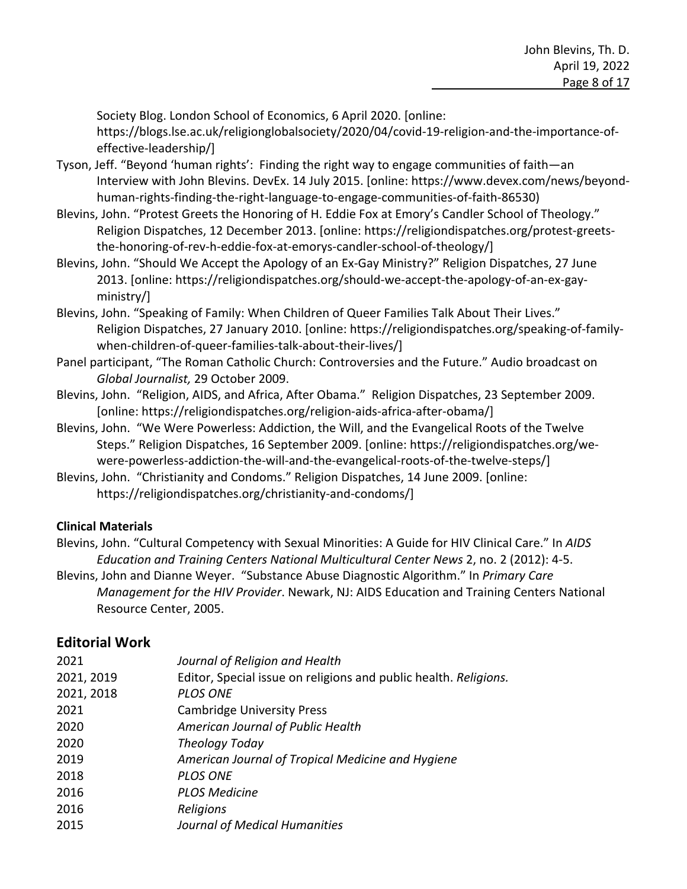Society Blog. London School of Economics, 6 April 2020. [online:

https://blogs.lse.ac.uk/religionglobalsociety/2020/04/covid-19-religion-and-the-importance-ofeffective-leadership/]

- Tyson, Jeff. "Beyond 'human rights': Finding the right way to engage communities of faith—an Interview with John Blevins. DevEx. 14 July 2015. [online: https://www.devex.com/news/beyondhuman-rights-finding-the-right-language-to-engage-communities-of-faith-86530)
- Blevins, John. "Protest Greets the Honoring of H. Eddie Fox at Emory's Candler School of Theology." Religion Dispatches, 12 December 2013. [online: https://religiondispatches.org/protest-greetsthe-honoring-of-rev-h-eddie-fox-at-emorys-candler-school-of-theology/]
- Blevins, John. "Should We Accept the Apology of an Ex-Gay Ministry?" Religion Dispatches, 27 June 2013. [online: https://religiondispatches.org/should-we-accept-the-apology-of-an-ex-gayministry/]
- Blevins, John. "Speaking of Family: When Children of Queer Families Talk About Their Lives." Religion Dispatches, 27 January 2010. [online: https://religiondispatches.org/speaking-of-familywhen-children-of-queer-families-talk-about-their-lives/]
- Panel participant, "The Roman Catholic Church: Controversies and the Future." Audio broadcast on *Global Journalist,* 29 October 2009.
- Blevins, John. "Religion, AIDS, and Africa, After Obama." Religion Dispatches, 23 September 2009. [online: https://religiondispatches.org/religion-aids-africa-after-obama/]
- Blevins, John. "We Were Powerless: Addiction, the Will, and the Evangelical Roots of the Twelve Steps." Religion Dispatches, 16 September 2009. [online: https://religiondispatches.org/wewere-powerless-addiction-the-will-and-the-evangelical-roots-of-the-twelve-steps/]
- Blevins, John. "Christianity and Condoms." Religion Dispatches, 14 June 2009. [online: https://religiondispatches.org/christianity-and-condoms/]

#### **Clinical Materials**

- Blevins, John. "Cultural Competency with Sexual Minorities: A Guide for HIV Clinical Care." In *AIDS Education and Training Centers National Multicultural Center News* 2, no. 2 (2012): 4-5.
- Blevins, John and Dianne Weyer. "Substance Abuse Diagnostic Algorithm." In *Primary Care Management for the HIV Provider*. Newark, NJ: AIDS Education and Training Centers National Resource Center, 2005.

# **Editorial Work**

| 2021       | Journal of Religion and Health                                   |
|------------|------------------------------------------------------------------|
| 2021, 2019 | Editor, Special issue on religions and public health. Religions. |
| 2021, 2018 | <b>PLOS ONE</b>                                                  |
| 2021       | <b>Cambridge University Press</b>                                |
| 2020       | American Journal of Public Health                                |
| 2020       | Theology Today                                                   |
| 2019       | American Journal of Tropical Medicine and Hygiene                |
| 2018       | <b>PLOS ONE</b>                                                  |
| 2016       | <b>PLOS Medicine</b>                                             |
| 2016       | Religions                                                        |
| 2015       | Journal of Medical Humanities                                    |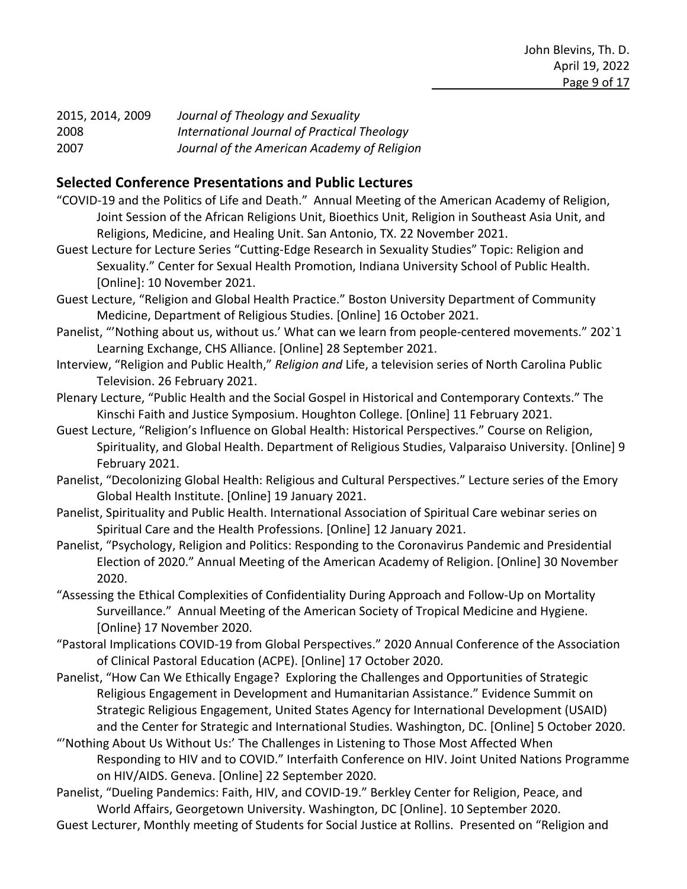| 2015, 2014, 2009 | Journal of Theology and Sexuality           |
|------------------|---------------------------------------------|
| 2008             | International Journal of Practical Theology |
| 2007             | Journal of the American Academy of Religion |

#### **Selected Conference Presentations and Public Lectures**

- "COVID-19 and the Politics of Life and Death." Annual Meeting of the American Academy of Religion, Joint Session of the African Religions Unit, Bioethics Unit, Religion in Southeast Asia Unit, and Religions, Medicine, and Healing Unit. San Antonio, TX. 22 November 2021.
- Guest Lecture for Lecture Series "Cutting-Edge Research in Sexuality Studies" Topic: Religion and Sexuality." Center for Sexual Health Promotion, Indiana University School of Public Health. [Online]: 10 November 2021.
- Guest Lecture, "Religion and Global Health Practice." Boston University Department of Community Medicine, Department of Religious Studies. [Online] 16 October 2021.
- Panelist, "'Nothing about us, without us.' What can we learn from people-centered movements." 202`1 Learning Exchange, CHS Alliance. [Online] 28 September 2021.
- Interview, "Religion and Public Health," *Religion and* Life, a television series of North Carolina Public Television. 26 February 2021.
- Plenary Lecture, "Public Health and the Social Gospel in Historical and Contemporary Contexts." The Kinschi Faith and Justice Symposium. Houghton College. [Online] 11 February 2021.
- Guest Lecture, "Religion's Influence on Global Health: Historical Perspectives." Course on Religion, Spirituality, and Global Health. Department of Religious Studies, Valparaiso University. [Online] 9 February 2021.
- Panelist, "Decolonizing Global Health: Religious and Cultural Perspectives." Lecture series of the Emory Global Health Institute. [Online] 19 January 2021.
- Panelist, Spirituality and Public Health. International Association of Spiritual Care webinar series on Spiritual Care and the Health Professions. [Online] 12 January 2021.
- Panelist, "Psychology, Religion and Politics: Responding to the Coronavirus Pandemic and Presidential Election of 2020." Annual Meeting of the American Academy of Religion. [Online] 30 November 2020.
- "Assessing the Ethical Complexities of Confidentiality During Approach and Follow-Up on Mortality Surveillance." Annual Meeting of the American Society of Tropical Medicine and Hygiene. [Online} 17 November 2020.
- "Pastoral Implications COVID-19 from Global Perspectives." 2020 Annual Conference of the Association of Clinical Pastoral Education (ACPE). [Online] 17 October 2020.
- Panelist, "How Can We Ethically Engage? Exploring the Challenges and Opportunities of Strategic Religious Engagement in Development and Humanitarian Assistance." Evidence Summit on Strategic Religious Engagement, United States Agency for International Development (USAID) and the Center for Strategic and International Studies. Washington, DC. [Online] 5 October 2020.
- "'Nothing About Us Without Us:' The Challenges in Listening to Those Most Affected When Responding to HIV and to COVID." Interfaith Conference on HIV. Joint United Nations Programme on HIV/AIDS. Geneva. [Online] 22 September 2020.
- Panelist, "Dueling Pandemics: Faith, HIV, and COVID-19." Berkley Center for Religion, Peace, and World Affairs, Georgetown University. Washington, DC [Online]. 10 September 2020.
- Guest Lecturer, Monthly meeting of Students for Social Justice at Rollins. Presented on "Religion and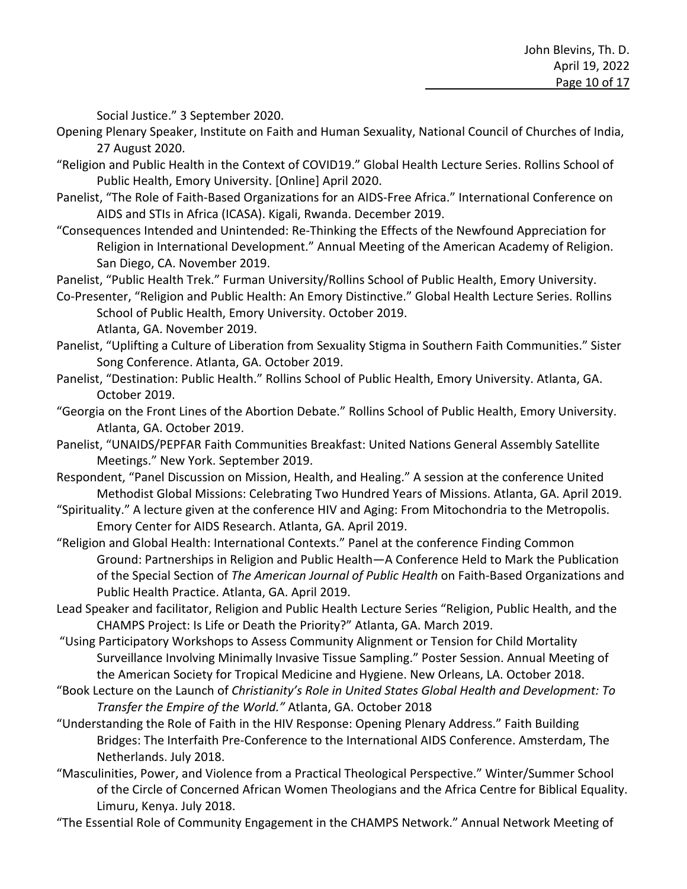Social Justice." 3 September 2020.

- Opening Plenary Speaker, Institute on Faith and Human Sexuality, National Council of Churches of India, 27 August 2020.
- "Religion and Public Health in the Context of COVID19." Global Health Lecture Series. Rollins School of Public Health, Emory University. [Online] April 2020.
- Panelist, "The Role of Faith-Based Organizations for an AIDS-Free Africa." International Conference on AIDS and STIs in Africa (ICASA). Kigali, Rwanda. December 2019.
- "Consequences Intended and Unintended: Re-Thinking the Effects of the Newfound Appreciation for Religion in International Development." Annual Meeting of the American Academy of Religion. San Diego, CA. November 2019.
- Panelist, "Public Health Trek." Furman University/Rollins School of Public Health, Emory University.
- Co-Presenter, "Religion and Public Health: An Emory Distinctive." Global Health Lecture Series. Rollins School of Public Health, Emory University. October 2019. Atlanta, GA. November 2019.
- Panelist, "Uplifting a Culture of Liberation from Sexuality Stigma in Southern Faith Communities." Sister Song Conference. Atlanta, GA. October 2019.
- Panelist, "Destination: Public Health." Rollins School of Public Health, Emory University. Atlanta, GA. October 2019.
- "Georgia on the Front Lines of the Abortion Debate." Rollins School of Public Health, Emory University. Atlanta, GA. October 2019.
- Panelist, "UNAIDS/PEPFAR Faith Communities Breakfast: United Nations General Assembly Satellite Meetings." New York. September 2019.
- Respondent, "Panel Discussion on Mission, Health, and Healing." A session at the conference United Methodist Global Missions: Celebrating Two Hundred Years of Missions. Atlanta, GA. April 2019.
- "Spirituality." A lecture given at the conference HIV and Aging: From Mitochondria to the Metropolis. Emory Center for AIDS Research. Atlanta, GA. April 2019.
- "Religion and Global Health: International Contexts." Panel at the conference Finding Common Ground: Partnerships in Religion and Public Health—A Conference Held to Mark the Publication of the Special Section of *The American Journal of Public Health* on Faith-Based Organizations and Public Health Practice. Atlanta, GA. April 2019.
- Lead Speaker and facilitator, Religion and Public Health Lecture Series "Religion, Public Health, and the CHAMPS Project: Is Life or Death the Priority?" Atlanta, GA. March 2019.
- "Using Participatory Workshops to Assess Community Alignment or Tension for Child Mortality Surveillance Involving Minimally Invasive Tissue Sampling." Poster Session. Annual Meeting of the American Society for Tropical Medicine and Hygiene. New Orleans, LA. October 2018.
- "Book Lecture on the Launch of *Christianity's Role in United States Global Health and Development: To Transfer the Empire of the World."* Atlanta, GA. October 2018
- "Understanding the Role of Faith in the HIV Response: Opening Plenary Address." Faith Building Bridges: The Interfaith Pre-Conference to the International AIDS Conference. Amsterdam, The Netherlands. July 2018.
- "Masculinities, Power, and Violence from a Practical Theological Perspective." Winter/Summer School of the Circle of Concerned African Women Theologians and the Africa Centre for Biblical Equality. Limuru, Kenya. July 2018.
- "The Essential Role of Community Engagement in the CHAMPS Network." Annual Network Meeting of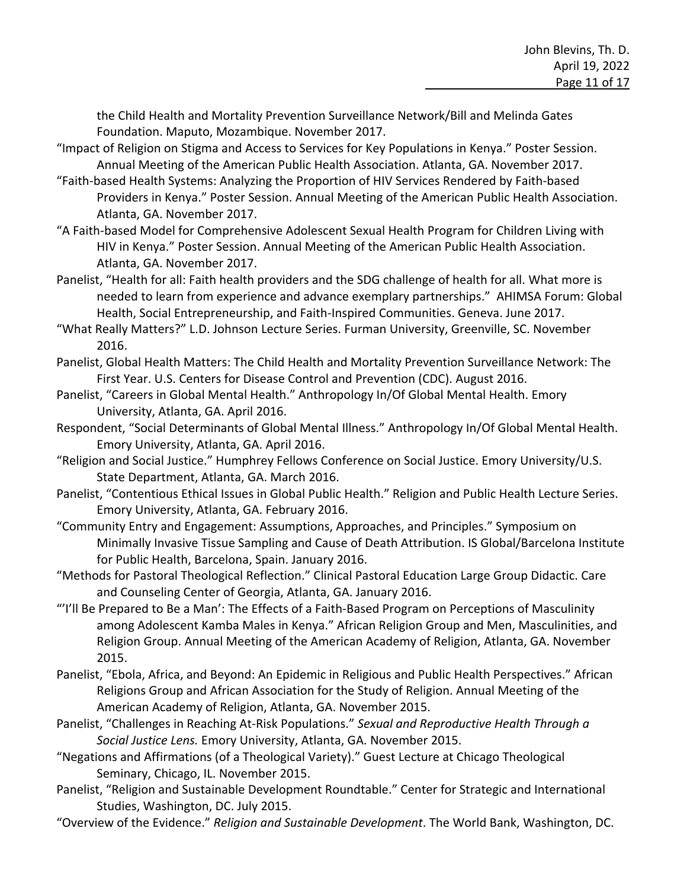the Child Health and Mortality Prevention Surveillance Network/Bill and Melinda Gates Foundation. Maputo, Mozambique. November 2017.

- "Impact of Religion on Stigma and Access to Services for Key Populations in Kenya." Poster Session. Annual Meeting of the American Public Health Association. Atlanta, GA. November 2017.
- "Faith-based Health Systems: Analyzing the Proportion of HIV Services Rendered by Faith-based Providers in Kenya." Poster Session. Annual Meeting of the American Public Health Association. Atlanta, GA. November 2017.
- "A Faith-based Model for Comprehensive Adolescent Sexual Health Program for Children Living with HIV in Kenya." Poster Session. Annual Meeting of the American Public Health Association. Atlanta, GA. November 2017.
- Panelist, "Health for all: Faith health providers and the SDG challenge of health for all. What more is needed to learn from experience and advance exemplary partnerships." AHIMSA Forum: Global Health, Social Entrepreneurship, and Faith-Inspired Communities. Geneva. June 2017.
- "What Really Matters?" L.D. Johnson Lecture Series. Furman University, Greenville, SC. November 2016.
- Panelist, Global Health Matters: The Child Health and Mortality Prevention Surveillance Network: The First Year. U.S. Centers for Disease Control and Prevention (CDC). August 2016.
- Panelist, "Careers in Global Mental Health." Anthropology In/Of Global Mental Health. Emory University, Atlanta, GA. April 2016.
- Respondent, "Social Determinants of Global Mental Illness." Anthropology In/Of Global Mental Health. Emory University, Atlanta, GA. April 2016.
- "Religion and Social Justice." Humphrey Fellows Conference on Social Justice. Emory University/U.S. State Department, Atlanta, GA. March 2016.
- Panelist, "Contentious Ethical Issues in Global Public Health." Religion and Public Health Lecture Series. Emory University, Atlanta, GA. February 2016.
- "Community Entry and Engagement: Assumptions, Approaches, and Principles." Symposium on Minimally Invasive Tissue Sampling and Cause of Death Attribution. IS Global/Barcelona Institute for Public Health, Barcelona, Spain. January 2016.
- "Methods for Pastoral Theological Reflection." Clinical Pastoral Education Large Group Didactic. Care and Counseling Center of Georgia, Atlanta, GA. January 2016.
- "'I'll Be Prepared to Be a Man': The Effects of a Faith-Based Program on Perceptions of Masculinity among Adolescent Kamba Males in Kenya." African Religion Group and Men, Masculinities, and Religion Group. Annual Meeting of the American Academy of Religion, Atlanta, GA. November 2015.
- Panelist, "Ebola, Africa, and Beyond: An Epidemic in Religious and Public Health Perspectives." African Religions Group and African Association for the Study of Religion. Annual Meeting of the American Academy of Religion, Atlanta, GA. November 2015.
- Panelist, "Challenges in Reaching At-Risk Populations." *Sexual and Reproductive Health Through a Social Justice Lens.* Emory University, Atlanta, GA. November 2015.
- "Negations and Affirmations (of a Theological Variety)." Guest Lecture at Chicago Theological Seminary, Chicago, IL. November 2015.
- Panelist, "Religion and Sustainable Development Roundtable." Center for Strategic and International Studies, Washington, DC. July 2015.
- "Overview of the Evidence." *Religion and Sustainable Development*. The World Bank, Washington, DC.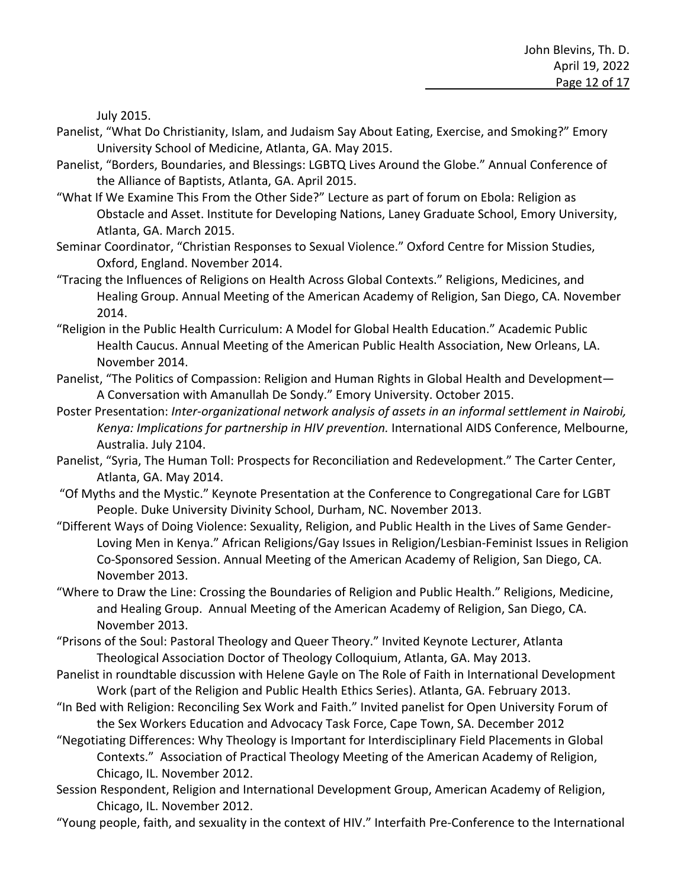July 2015.

- Panelist, "What Do Christianity, Islam, and Judaism Say About Eating, Exercise, and Smoking?" Emory University School of Medicine, Atlanta, GA. May 2015.
- Panelist, "Borders, Boundaries, and Blessings: LGBTQ Lives Around the Globe." Annual Conference of the Alliance of Baptists, Atlanta, GA. April 2015.
- "What If We Examine This From the Other Side?" Lecture as part of forum on Ebola: Religion as Obstacle and Asset. Institute for Developing Nations, Laney Graduate School, Emory University, Atlanta, GA. March 2015.
- Seminar Coordinator, "Christian Responses to Sexual Violence." Oxford Centre for Mission Studies, Oxford, England. November 2014.
- "Tracing the Influences of Religions on Health Across Global Contexts." Religions, Medicines, and Healing Group. Annual Meeting of the American Academy of Religion, San Diego, CA. November 2014.
- "Religion in the Public Health Curriculum: A Model for Global Health Education." Academic Public Health Caucus. Annual Meeting of the American Public Health Association, New Orleans, LA. November 2014.
- Panelist, "The Politics of Compassion: Religion and Human Rights in Global Health and Development— A Conversation with Amanullah De Sondy." Emory University. October 2015.
- Poster Presentation: *Inter-organizational network analysis of assets in an informal settlement in Nairobi, Kenya: Implications for partnership in HIV prevention.* International AIDS Conference, Melbourne, Australia. July 2104.
- Panelist, "Syria, The Human Toll: Prospects for Reconciliation and Redevelopment." The Carter Center, Atlanta, GA. May 2014.
- "Of Myths and the Mystic." Keynote Presentation at the Conference to Congregational Care for LGBT People. Duke University Divinity School, Durham, NC. November 2013.
- "Different Ways of Doing Violence: Sexuality, Religion, and Public Health in the Lives of Same Gender-Loving Men in Kenya." African Religions/Gay Issues in Religion/Lesbian-Feminist Issues in Religion Co-Sponsored Session. Annual Meeting of the American Academy of Religion, San Diego, CA. November 2013.
- "Where to Draw the Line: Crossing the Boundaries of Religion and Public Health." Religions, Medicine, and Healing Group. Annual Meeting of the American Academy of Religion, San Diego, CA. November 2013.
- "Prisons of the Soul: Pastoral Theology and Queer Theory." Invited Keynote Lecturer, Atlanta Theological Association Doctor of Theology Colloquium, Atlanta, GA. May 2013.
- Panelist in roundtable discussion with Helene Gayle on The Role of Faith in International Development Work (part of the Religion and Public Health Ethics Series). Atlanta, GA. February 2013.
- "In Bed with Religion: Reconciling Sex Work and Faith." Invited panelist for Open University Forum of the Sex Workers Education and Advocacy Task Force, Cape Town, SA. December 2012
- "Negotiating Differences: Why Theology is Important for Interdisciplinary Field Placements in Global Contexts." Association of Practical Theology Meeting of the American Academy of Religion, Chicago, IL. November 2012.
- Session Respondent, Religion and International Development Group, American Academy of Religion, Chicago, IL. November 2012.
- "Young people, faith, and sexuality in the context of HIV." Interfaith Pre-Conference to the International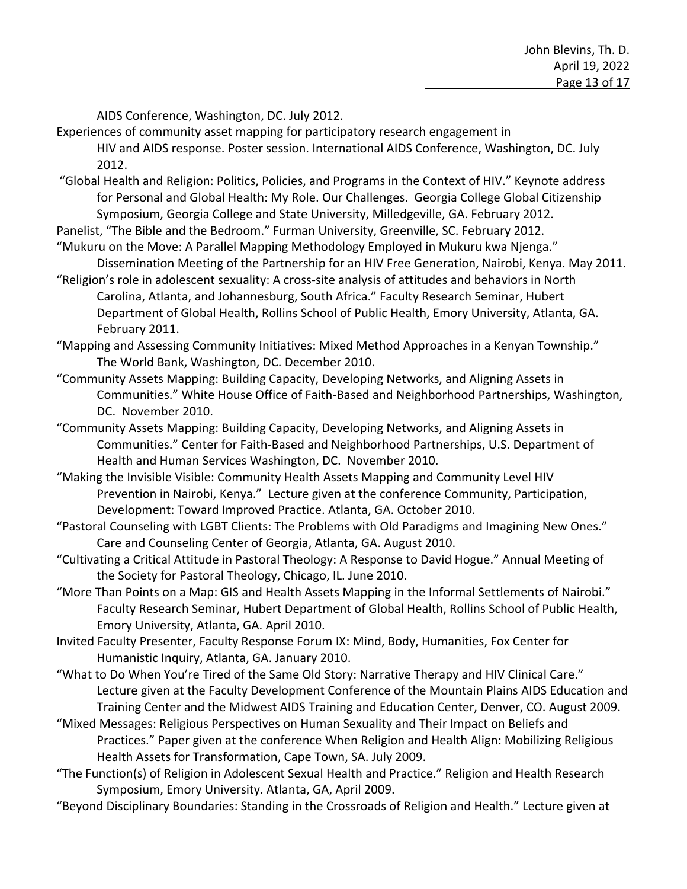AIDS Conference, Washington, DC. July 2012.

- Experiences of community asset mapping for participatory research engagement in HIV and AIDS response. Poster session. International AIDS Conference, Washington, DC. July 2012.
- "Global Health and Religion: Politics, Policies, and Programs in the Context of HIV." Keynote address for Personal and Global Health: My Role. Our Challenges. Georgia College Global Citizenship Symposium, Georgia College and State University, Milledgeville, GA. February 2012.
- Panelist, "The Bible and the Bedroom." Furman University, Greenville, SC. February 2012.
- "Mukuru on the Move: A Parallel Mapping Methodology Employed in Mukuru kwa Njenga." Dissemination Meeting of the Partnership for an HIV Free Generation, Nairobi, Kenya. May 2011.
- "Religion's role in adolescent sexuality: A cross-site analysis of attitudes and behaviors in North Carolina, Atlanta, and Johannesburg, South Africa." Faculty Research Seminar, Hubert Department of Global Health, Rollins School of Public Health, Emory University, Atlanta, GA. February 2011.
- "Mapping and Assessing Community Initiatives: Mixed Method Approaches in a Kenyan Township." The World Bank, Washington, DC. December 2010.
- "Community Assets Mapping: Building Capacity, Developing Networks, and Aligning Assets in Communities." White House Office of Faith-Based and Neighborhood Partnerships, Washington, DC. November 2010.
- "Community Assets Mapping: Building Capacity, Developing Networks, and Aligning Assets in Communities." Center for Faith-Based and Neighborhood Partnerships, U.S. Department of Health and Human Services Washington, DC. November 2010.
- "Making the Invisible Visible: Community Health Assets Mapping and Community Level HIV Prevention in Nairobi, Kenya." Lecture given at the conference Community, Participation, Development: Toward Improved Practice. Atlanta, GA. October 2010.
- "Pastoral Counseling with LGBT Clients: The Problems with Old Paradigms and Imagining New Ones." Care and Counseling Center of Georgia, Atlanta, GA. August 2010.
- "Cultivating a Critical Attitude in Pastoral Theology: A Response to David Hogue." Annual Meeting of the Society for Pastoral Theology, Chicago, IL. June 2010.
- "More Than Points on a Map: GIS and Health Assets Mapping in the Informal Settlements of Nairobi." Faculty Research Seminar, Hubert Department of Global Health, Rollins School of Public Health, Emory University, Atlanta, GA. April 2010.
- Invited Faculty Presenter, Faculty Response Forum IX: Mind, Body, Humanities, Fox Center for Humanistic Inquiry, Atlanta, GA. January 2010.
- "What to Do When You're Tired of the Same Old Story: Narrative Therapy and HIV Clinical Care." Lecture given at the Faculty Development Conference of the Mountain Plains AIDS Education and Training Center and the Midwest AIDS Training and Education Center, Denver, CO. August 2009.
- "Mixed Messages: Religious Perspectives on Human Sexuality and Their Impact on Beliefs and Practices." Paper given at the conference When Religion and Health Align: Mobilizing Religious Health Assets for Transformation, Cape Town, SA. July 2009.
- "The Function(s) of Religion in Adolescent Sexual Health and Practice." Religion and Health Research Symposium, Emory University. Atlanta, GA, April 2009.
- "Beyond Disciplinary Boundaries: Standing in the Crossroads of Religion and Health." Lecture given at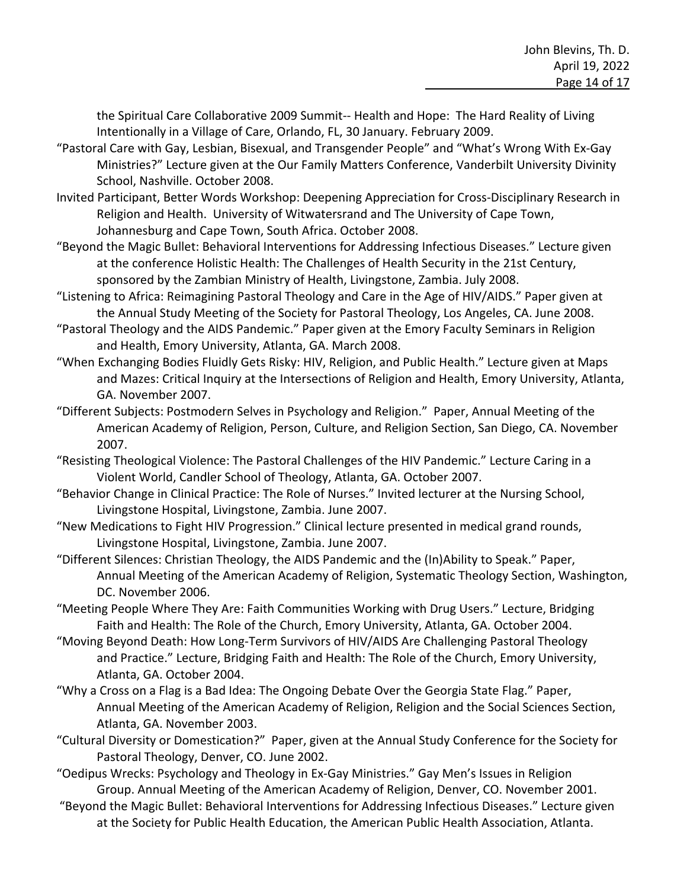the Spiritual Care Collaborative 2009 Summit-- Health and Hope: The Hard Reality of Living Intentionally in a Village of Care, Orlando, FL, 30 January. February 2009.

- "Pastoral Care with Gay, Lesbian, Bisexual, and Transgender People" and "What's Wrong With Ex-Gay Ministries?" Lecture given at the Our Family Matters Conference, Vanderbilt University Divinity School, Nashville. October 2008.
- Invited Participant, Better Words Workshop: Deepening Appreciation for Cross-Disciplinary Research in Religion and Health. University of Witwatersrand and The University of Cape Town, Johannesburg and Cape Town, South Africa. October 2008.
- "Beyond the Magic Bullet: Behavioral Interventions for Addressing Infectious Diseases." Lecture given at the conference Holistic Health: The Challenges of Health Security in the 21st Century, sponsored by the Zambian Ministry of Health, Livingstone, Zambia. July 2008.
- "Listening to Africa: Reimagining Pastoral Theology and Care in the Age of HIV/AIDS." Paper given at the Annual Study Meeting of the Society for Pastoral Theology, Los Angeles, CA. June 2008.
- "Pastoral Theology and the AIDS Pandemic." Paper given at the Emory Faculty Seminars in Religion and Health, Emory University, Atlanta, GA. March 2008.
- "When Exchanging Bodies Fluidly Gets Risky: HIV, Religion, and Public Health." Lecture given at Maps and Mazes: Critical Inquiry at the Intersections of Religion and Health, Emory University, Atlanta, GA. November 2007.
- "Different Subjects: Postmodern Selves in Psychology and Religion." Paper, Annual Meeting of the American Academy of Religion, Person, Culture, and Religion Section, San Diego, CA. November 2007.
- "Resisting Theological Violence: The Pastoral Challenges of the HIV Pandemic." Lecture Caring in a Violent World, Candler School of Theology, Atlanta, GA. October 2007.
- "Behavior Change in Clinical Practice: The Role of Nurses." Invited lecturer at the Nursing School, Livingstone Hospital, Livingstone, Zambia. June 2007.
- "New Medications to Fight HIV Progression." Clinical lecture presented in medical grand rounds, Livingstone Hospital, Livingstone, Zambia. June 2007.
- "Different Silences: Christian Theology, the AIDS Pandemic and the (In)Ability to Speak." Paper, Annual Meeting of the American Academy of Religion, Systematic Theology Section, Washington, DC. November 2006.
- "Meeting People Where They Are: Faith Communities Working with Drug Users." Lecture, Bridging Faith and Health: The Role of the Church, Emory University, Atlanta, GA. October 2004.
- "Moving Beyond Death: How Long-Term Survivors of HIV/AIDS Are Challenging Pastoral Theology and Practice." Lecture, Bridging Faith and Health: The Role of the Church, Emory University, Atlanta, GA. October 2004.
- "Why a Cross on a Flag is a Bad Idea: The Ongoing Debate Over the Georgia State Flag." Paper, Annual Meeting of the American Academy of Religion, Religion and the Social Sciences Section, Atlanta, GA. November 2003.
- "Cultural Diversity or Domestication?" Paper, given at the Annual Study Conference for the Society for Pastoral Theology, Denver, CO. June 2002.
- "Oedipus Wrecks: Psychology and Theology in Ex-Gay Ministries." Gay Men's Issues in Religion Group. Annual Meeting of the American Academy of Religion, Denver, CO. November 2001.
- "Beyond the Magic Bullet: Behavioral Interventions for Addressing Infectious Diseases." Lecture given at the Society for Public Health Education, the American Public Health Association, Atlanta.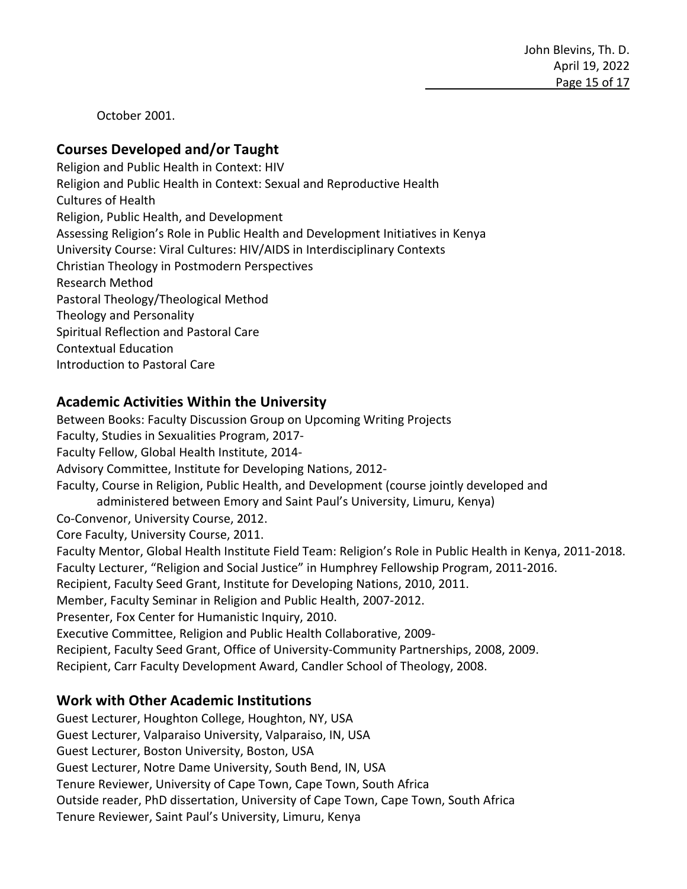John Blevins, Th. D. April 19, 2022 Page 15 of 17

October 2001.

#### **Courses Developed and/or Taught**

Religion and Public Health in Context: HIV Religion and Public Health in Context: Sexual and Reproductive Health Cultures of Health Religion, Public Health, and Development Assessing Religion's Role in Public Health and Development Initiatives in Kenya University Course: Viral Cultures: HIV/AIDS in Interdisciplinary Contexts Christian Theology in Postmodern Perspectives Research Method Pastoral Theology/Theological Method Theology and Personality Spiritual Reflection and Pastoral Care Contextual Education Introduction to Pastoral Care

#### **Academic Activities Within the University**

Between Books: Faculty Discussion Group on Upcoming Writing Projects Faculty, Studies in Sexualities Program, 2017- Faculty Fellow, Global Health Institute, 2014- Advisory Committee, Institute for Developing Nations, 2012- Faculty, Course in Religion, Public Health, and Development (course jointly developed and administered between Emory and Saint Paul's University, Limuru, Kenya) Co-Convenor, University Course, 2012. Core Faculty, University Course, 2011. Faculty Mentor, Global Health Institute Field Team: Religion's Role in Public Health in Kenya, 2011-2018. Faculty Lecturer, "Religion and Social Justice" in Humphrey Fellowship Program, 2011-2016. Recipient, Faculty Seed Grant, Institute for Developing Nations, 2010, 2011. Member, Faculty Seminar in Religion and Public Health, 2007-2012. Presenter, Fox Center for Humanistic Inquiry, 2010. Executive Committee, Religion and Public Health Collaborative, 2009- Recipient, Faculty Seed Grant, Office of University-Community Partnerships, 2008, 2009. Recipient, Carr Faculty Development Award, Candler School of Theology, 2008.

#### **Work with Other Academic Institutions**

Guest Lecturer, Houghton College, Houghton, NY, USA Guest Lecturer, Valparaiso University, Valparaiso, IN, USA Guest Lecturer, Boston University, Boston, USA Guest Lecturer, Notre Dame University, South Bend, IN, USA Tenure Reviewer, University of Cape Town, Cape Town, South Africa Outside reader, PhD dissertation, University of Cape Town, Cape Town, South Africa Tenure Reviewer, Saint Paul's University, Limuru, Kenya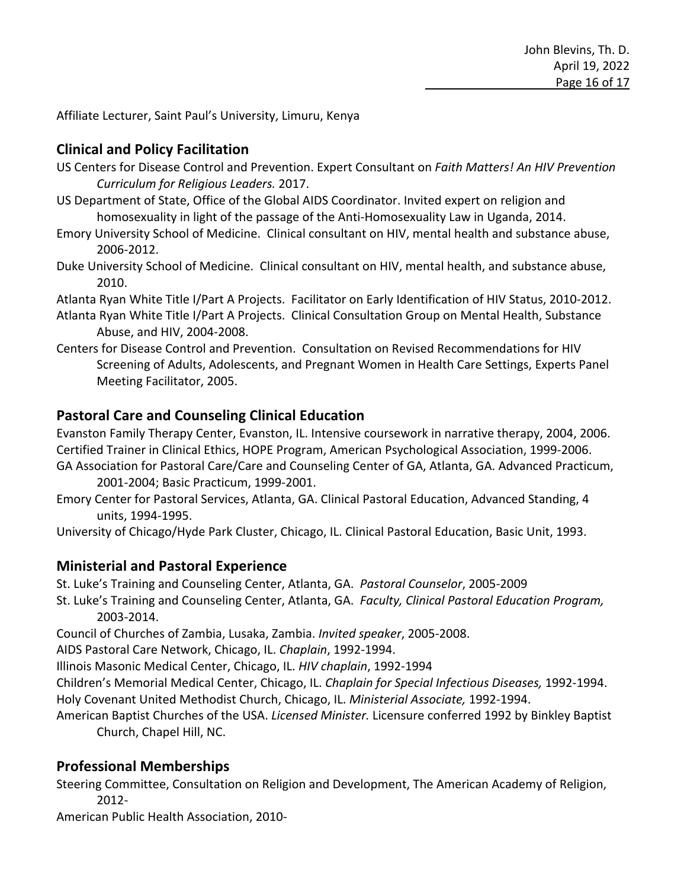Affiliate Lecturer, Saint Paul's University, Limuru, Kenya

## **Clinical and Policy Facilitation**

- US Centers for Disease Control and Prevention. Expert Consultant on *Faith Matters! An HIV Prevention Curriculum for Religious Leaders.* 2017.
- US Department of State, Office of the Global AIDS Coordinator. Invited expert on religion and homosexuality in light of the passage of the Anti-Homosexuality Law in Uganda, 2014.
- Emory University School of Medicine. Clinical consultant on HIV, mental health and substance abuse, 2006-2012.
- Duke University School of Medicine. Clinical consultant on HIV, mental health, and substance abuse, 2010.

Atlanta Ryan White Title I/Part A Projects. Facilitator on Early Identification of HIV Status, 2010-2012.

- Atlanta Ryan White Title I/Part A Projects. Clinical Consultation Group on Mental Health, Substance Abuse, and HIV, 2004-2008.
- Centers for Disease Control and Prevention. Consultation on Revised Recommendations for HIV Screening of Adults, Adolescents, and Pregnant Women in Health Care Settings, Experts Panel Meeting Facilitator, 2005.

# **Pastoral Care and Counseling Clinical Education**

Evanston Family Therapy Center, Evanston, IL. Intensive coursework in narrative therapy, 2004, 2006. Certified Trainer in Clinical Ethics, HOPE Program, American Psychological Association, 1999-2006.

- GA Association for Pastoral Care/Care and Counseling Center of GA, Atlanta, GA. Advanced Practicum, 2001-2004; Basic Practicum, 1999-2001.
- Emory Center for Pastoral Services, Atlanta, GA. Clinical Pastoral Education, Advanced Standing, 4 units, 1994-1995.

University of Chicago/Hyde Park Cluster, Chicago, IL. Clinical Pastoral Education, Basic Unit, 1993.

#### **Ministerial and Pastoral Experience**

St. Luke's Training and Counseling Center, Atlanta, GA. *Pastoral Counselor*, 2005-2009

St. Luke's Training and Counseling Center, Atlanta, GA. *Faculty, Clinical Pastoral Education Program,*  2003-2014.

Council of Churches of Zambia, Lusaka, Zambia. *Invited speaker*, 2005-2008.

AIDS Pastoral Care Network, Chicago, IL. *Chaplain*, 1992-1994.

Illinois Masonic Medical Center, Chicago, IL. *HIV chaplain*, 1992-1994

Children's Memorial Medical Center, Chicago, IL. *Chaplain for Special Infectious Diseases,* 1992-1994. Holy Covenant United Methodist Church, Chicago, IL. *Ministerial Associate,* 1992-1994.

American Baptist Churches of the USA. *Licensed Minister.* Licensure conferred 1992 by Binkley Baptist Church, Chapel Hill, NC.

# **Professional Memberships**

Steering Committee, Consultation on Religion and Development, The American Academy of Religion, 2012-

American Public Health Association, 2010-